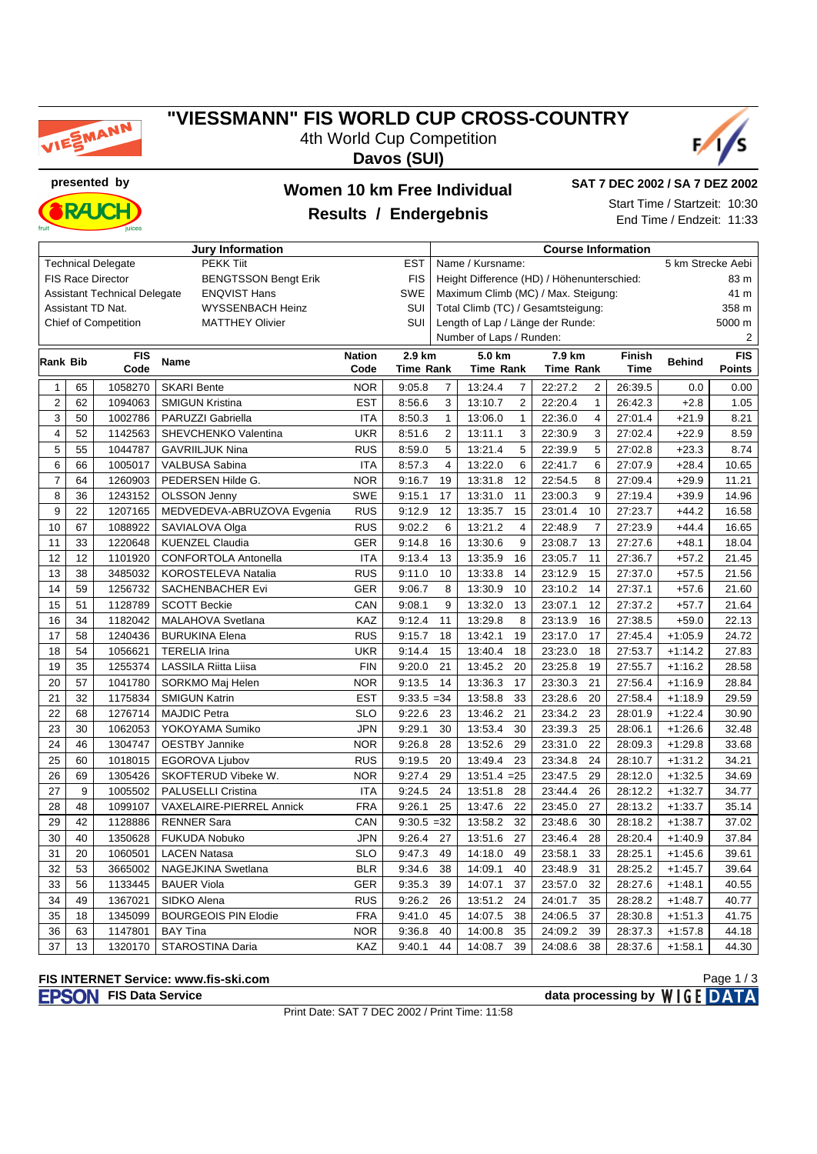

#### **"VIESSMANN" FIS WORLD CUP CROSS-COUNTRY** 4th World Cup Competition

**Davos (SUI)**





### **presented by Women 10 km Free Individual Results / Endergebnis**

**SAT 7 DEC 2002 / SA 7 DEZ 2002**

Start Time / Startzeit: 10:30 End Time / Endzeit: 11:33

| <b>Jury Information</b>                                               |    |                             |                             |               |                  | <b>Course Information</b>                  |                                     |                           |               |               |               |  |
|-----------------------------------------------------------------------|----|-----------------------------|-----------------------------|---------------|------------------|--------------------------------------------|-------------------------------------|---------------------------|---------------|---------------|---------------|--|
| <b>PEKK Tiit</b><br><b>Technical Delegate</b><br><b>EST</b>           |    |                             |                             |               |                  | Name / Kursname:<br>5 km Strecke Aebi      |                                     |                           |               |               |               |  |
| <b>BENGTSSON Bengt Erik</b><br><b>FIS</b><br><b>FIS Race Director</b> |    |                             |                             |               |                  | Height Difference (HD) / Höhenunterschied: |                                     |                           |               |               | 83 m          |  |
| SWE<br><b>Assistant Technical Delegate</b><br><b>ENQVIST Hans</b>     |    |                             |                             |               |                  |                                            | Maximum Climb (MC) / Max. Steigung: |                           | 41 m          |               |               |  |
| <b>SUI</b><br>Assistant TD Nat.<br><b>WYSSENBACH Heinz</b>            |    |                             |                             |               |                  |                                            | Total Climb (TC) / Gesamtsteigung:  |                           |               |               | 358 m         |  |
|                                                                       |    | <b>Chief of Competition</b> | <b>MATTHEY Olivier</b>      |               | SUI              |                                            | Length of Lap / Länge der Runde:    |                           |               |               | 5000 m        |  |
|                                                                       |    |                             |                             |               |                  |                                            | Number of Laps / Runden:            |                           | 2             |               |               |  |
|                                                                       |    | <b>FIS</b>                  |                             | <b>Nation</b> | 2.9 km           |                                            | 5.0 km                              | 7.9 km                    | <b>Finish</b> |               | <b>FIS</b>    |  |
| <b>Rank Bib</b>                                                       |    | Code                        | Name                        | Code          | <b>Time Rank</b> |                                            | <b>Time Rank</b>                    | <b>Time Rank</b>          | <b>Time</b>   | <b>Behind</b> | <b>Points</b> |  |
| $\mathbf{1}$                                                          | 65 | 1058270                     | <b>SKARI Bente</b>          | <b>NOR</b>    | 9:05.8           | $\overline{7}$                             | 13:24.4<br>$\overline{7}$           | 22:27.2<br>$\overline{2}$ | 26:39.5       | 0.0           | 0.00          |  |
| $\overline{2}$                                                        | 62 | 1094063                     | <b>SMIGUN Kristina</b>      | <b>EST</b>    | 8:56.6           | 3                                          | $\overline{2}$<br>13:10.7           | 22:20.4<br>$\mathbf{1}$   | 26:42.3       | $+2.8$        | 1.05          |  |
| 3                                                                     | 50 | 1002786                     | PARUZZI Gabriella           | <b>ITA</b>    | 8:50.3           | $\mathbf{1}$                               | 13:06.0<br>$\mathbf{1}$             | 4<br>22:36.0              | 27:01.4       | $+21.9$       | 8.21          |  |
| 4                                                                     | 52 | 1142563                     | SHEVCHENKO Valentina        | <b>UKR</b>    | 8:51.6           | $\overline{2}$                             | 3<br>13:11.1                        | 3<br>22:30.9              | 27:02.4       | $+22.9$       | 8.59          |  |
| 5                                                                     | 55 | 1044787                     | <b>GAVRIILJUK Nina</b>      | <b>RUS</b>    | 8:59.0           | 5                                          | 13:21.4<br>5                        | 22:39.9<br>5              | 27:02.8       | $+23.3$       | 8.74          |  |
| 6                                                                     | 66 | 1005017                     | VALBUSA Sabina              | <b>ITA</b>    | 8:57.3           | $\overline{4}$                             | 13:22.0<br>6                        | 22:41.7<br>6              | 27:07.9       | $+28.4$       | 10.65         |  |
| $\overline{7}$                                                        | 64 | 1260903                     | PEDERSEN Hilde G.           | <b>NOR</b>    | 9:16.7           | 19                                         | 13:31.8<br>12                       | 8<br>22:54.5              | 27:09.4       | $+29.9$       | 11.21         |  |
| 8                                                                     | 36 | 1243152                     | <b>OLSSON Jenny</b>         | <b>SWE</b>    | 9:15.1           | 17                                         | 13:31.0<br>11                       | 23:00.3<br>9              | 27:19.4       | $+39.9$       | 14.96         |  |
| 9                                                                     | 22 | 1207165                     | MEDVEDEVA-ABRUZOVA Evgenia  | <b>RUS</b>    | 9:12.9           | 12                                         | 13:35.7<br>15                       | 23:01.4<br>10             | 27:23.7       | $+44.2$       | 16.58         |  |
| 10                                                                    | 67 | 1088922                     | SAVIALOVA Olga              | <b>RUS</b>    | 9:02.2           | 6                                          | 13:21.2<br>$\overline{4}$           | $\overline{7}$<br>22:48.9 | 27:23.9       | $+44.4$       | 16.65         |  |
| 11                                                                    | 33 | 1220648                     | <b>KUENZEL Claudia</b>      | <b>GER</b>    | 9:14.8           | 16                                         | 13:30.6<br>9                        | 23:08.7<br>13             | 27:27.6       | $+48.1$       | 18.04         |  |
| 12                                                                    | 12 | 1101920                     | <b>CONFORTOLA Antonella</b> | <b>ITA</b>    | 9:13.4           | 13                                         | 13:35.9<br>16                       | 11<br>23:05.7             | 27:36.7       | $+57.2$       | 21.45         |  |
| 13                                                                    | 38 | 3485032                     | KOROSTELEVA Natalia         | <b>RUS</b>    | 9:11.0           | 10                                         | 13:33.8<br>14                       | 23:12.9<br>15             | 27:37.0       | $+57.5$       | 21.56         |  |
| 14                                                                    | 59 | 1256732                     | <b>SACHENBACHER Evi</b>     | <b>GER</b>    | 9:06.7           | 8                                          | 13:30.9<br>10                       | 23:10.2<br>14             | 27:37.1       | $+57.6$       | 21.60         |  |
| 15                                                                    | 51 | 1128789                     | <b>SCOTT Beckie</b>         | CAN           | 9:08.1           | 9                                          | 13<br>13:32.0                       | 12<br>23:07.1             | 27:37.2       | $+57.7$       | 21.64         |  |
| 16                                                                    | 34 | 1182042                     | MALAHOVA Svetlana           | KAZ           | 9:12.4           | 11                                         | 13:29.8<br>8                        | 23:13.9<br>16             | 27:38.5       | $+59.0$       | 22.13         |  |
| 17                                                                    | 58 | 1240436                     | <b>BURUKINA Elena</b>       | <b>RUS</b>    | 9:15.7           | 18                                         | 13:42.1<br>19                       | 23:17.0<br>17             | 27:45.4       | $+1:05.9$     | 24.72         |  |
| 18                                                                    | 54 | 1056621                     | <b>TERELIA Irina</b>        | <b>UKR</b>    | 9:14.4           | 15                                         | 13:40.4<br>18                       | 23:23.0<br>18             | 27:53.7       | $+1:14.2$     | 27.83         |  |
| 19                                                                    | 35 | 1255374                     | LASSILA Riitta Liisa        | <b>FIN</b>    | 9:20.0           | 21                                         | 13:45.2<br>20                       | 23:25.8<br>19             | 27:55.7       | $+1:16.2$     | 28.58         |  |
| 20                                                                    | 57 | 1041780                     | SORKMO Maj Helen            | <b>NOR</b>    | 9:13.5           | 14                                         | 17<br>13:36.3                       | 23:30.3<br>21             | 27:56.4       | $+1:16.9$     | 28.84         |  |
| 21                                                                    | 32 | 1175834                     | <b>SMIGUN Katrin</b>        | <b>EST</b>    | $9:33.5 = 34$    |                                            | 13:58.8<br>33                       | 23:28.6<br>20             | 27:58.4       | $+1:18.9$     | 29.59         |  |
| 22                                                                    | 68 | 1276714                     | <b>MAJDIC Petra</b>         | <b>SLO</b>    | 9:22.6           | 23                                         | 13:46.2<br>21                       | 23:34.2<br>23             | 28:01.9       | $+1:22.4$     | 30.90         |  |
| 23                                                                    | 30 | 1062053                     | YOKOYAMA Sumiko             | <b>JPN</b>    | 9:29.1           | 30                                         | 13:53.4<br>30                       | 25<br>23:39.3             | 28:06.1       | $+1:26.6$     | 32.48         |  |
| 24                                                                    | 46 | 1304747                     | <b>OESTBY Jannike</b>       | <b>NOR</b>    | 9:26.8           | 28                                         | 13:52.6<br>29                       | 22<br>23:31.0             | 28:09.3       | $+1:29.8$     | 33.68         |  |
| 25                                                                    | 60 | 1018015                     | <b>EGOROVA Ljubov</b>       | <b>RUS</b>    | 9:19.5           | 20                                         | 13:49.4<br>23                       | 24<br>23:34.8             | 28:10.7       | $+1:31.2$     | 34.21         |  |
| 26                                                                    | 69 | 1305426                     | SKOFTERUD Vibeke W.         | <b>NOR</b>    | 9:27.4           | 29                                         | $13:51.4 = 25$                      | 29<br>23:47.5             | 28:12.0       | $+1:32.5$     | 34.69         |  |
| 27                                                                    | 9  | 1005502                     | PALUSELLI Cristina          | <b>ITA</b>    | 9:24.5           | 24                                         | 13:51.8<br>28                       | 23:44.4<br>26             | 28:12.2       | $+1:32.7$     | 34.77         |  |
| 28                                                                    | 48 | 1099107                     | VAXELAIRE-PIERREL Annick    | <b>FRA</b>    | 9:26.1           | 25                                         | 13:47.6<br>22                       | 27<br>23:45.0             | 28:13.2       | $+1:33.7$     | 35.14         |  |
| 29                                                                    | 42 | 1128886                     | <b>RENNER Sara</b>          | CAN           | $9:30.5 = 32$    |                                            | 13:58.2<br>32                       | 30<br>23:48.6             | 28:18.2       | $+1:38.7$     | 37.02         |  |
| 30                                                                    | 40 | 1350628                     | <b>FUKUDA Nobuko</b>        | <b>JPN</b>    | 9:26.4           | 27                                         | 13:51.6<br>27                       | 23:46.4<br>28             | 28:20.4       | $+1:40.9$     | 37.84         |  |
| 31                                                                    | 20 | 1060501                     | <b>LACEN Natasa</b>         | <b>SLO</b>    | 9:47.3           | 49                                         | 14:18.0<br>49                       | 23:58.1<br>33             | 28:25.1       | $+1:45.6$     | 39.61         |  |
| 32                                                                    | 53 | 3665002                     | NAGEJKINA Swetlana          | <b>BLR</b>    | 9:34.6           | 38                                         | 14:09.1<br>40                       | 23:48.9<br>31             | 28:25.2       | $+1:45.7$     | 39.64         |  |
| 33                                                                    | 56 | 1133445                     | <b>BAUER Viola</b>          | <b>GER</b>    | 9:35.3           | 39                                         | 14:07.1<br>37                       | 23:57.0<br>32             | 28:27.6       | $+1:48.1$     | 40.55         |  |
| 34                                                                    | 49 | 1367021                     | SIDKO Alena                 | <b>RUS</b>    | 9:26.2           | 26                                         | 24<br>13:51.2                       | 35<br>24:01.7             | 28:28.2       | $+1:48.7$     | 40.77         |  |
| 35                                                                    | 18 | 1345099                     | <b>BOURGEOIS PIN Elodie</b> | <b>FRA</b>    | 9:41.0           | 45                                         | 14:07.5<br>38                       | 24:06.5<br>37             | 28:30.8       | $+1:51.3$     | 41.75         |  |
| 36                                                                    | 63 | 1147801                     | <b>BAY Tina</b>             | <b>NOR</b>    | 9:36.8           | 40                                         | 35<br>14:00.8                       | 39<br>24:09.2             | 28:37.3       | $+1:57.8$     | 44.18         |  |
| 37                                                                    | 13 | 1320170                     | STAROSTINA Daria            | KAZ           | 9:40.1           | 44                                         | 39<br>14:08.7                       | 38<br>24:08.6             | 28:37.6       | $+1:58.1$     | 44.30         |  |

# **FIS INTERNET Service: www.fis-ski.com**

**FISH OF A FISH OF SERVICE DATA** 

Print Date: SAT 7 DEC 2002 / Print Time: 11:58

Page 1 / 3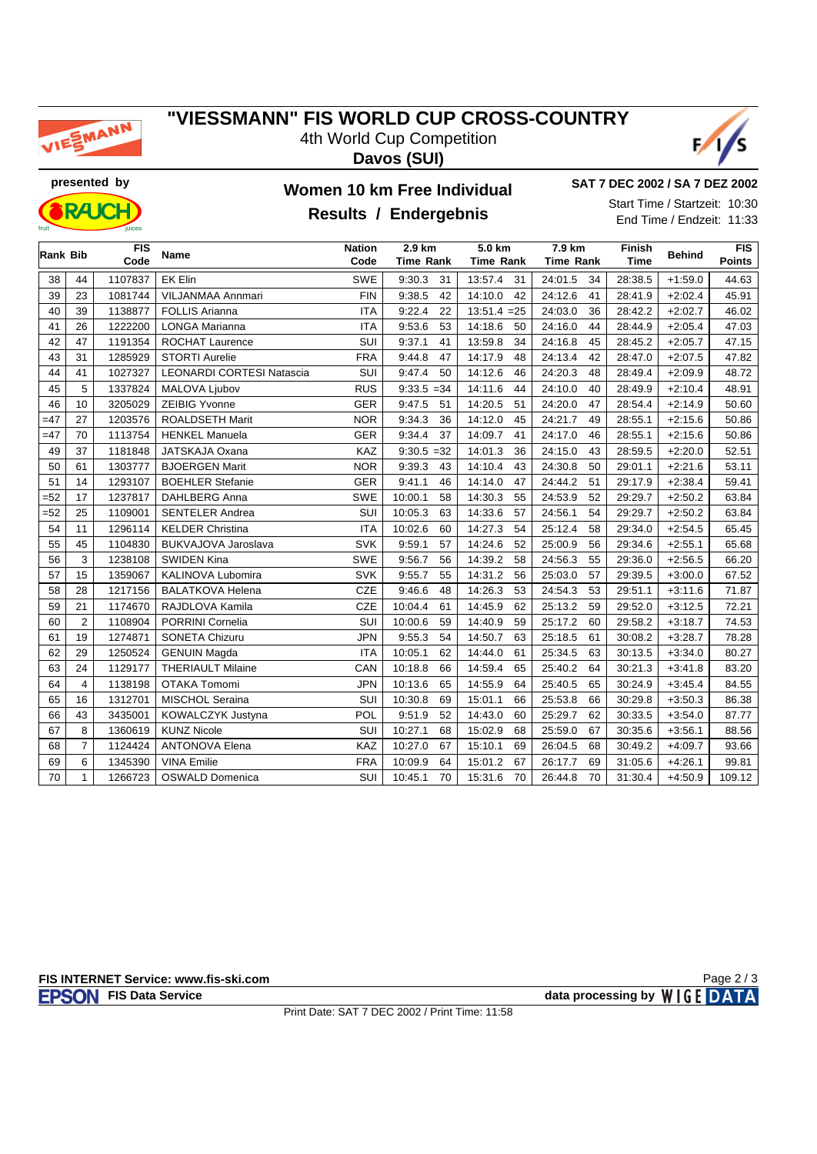

#### **"VIESSMANN" FIS WORLD CUP CROSS-COUNTRY** 4th World Cup Competition

**Davos (SUI)**





### **presented by Women 10 km Free Individual**

**SAT 7 DEC 2002 / SA 7 DEZ 2002**

Start Time / Startzeit: 10:30 End Time / Endzeit: 11:33

### **Results / Endergebnis**

| <b>Rank Bib</b> |                | <b>FIS</b><br>Code | Name                      | <b>Nation</b><br>2.9 km<br>Code<br><b>Time Rank</b> |               | 5.0 km<br><b>Time Rank</b> | 7.9 km<br><b>Time Rank</b> | Finish<br><b>Time</b> | <b>Behind</b> | <b>FIS</b><br><b>Points</b> |  |
|-----------------|----------------|--------------------|---------------------------|-----------------------------------------------------|---------------|----------------------------|----------------------------|-----------------------|---------------|-----------------------------|--|
| 38              | 44             | 1107837            | EK Elin                   | SWE                                                 | 31<br>9:30.3  | 13:57.4<br>31              | 24:01.5<br>34              | 28:38.5               | $+1:59.0$     | 44.63                       |  |
| 39              | 23             | 1081744            | VILJANMAA Annmari         | <b>FIN</b>                                          | 9:38.5<br>42  | 14:10.0<br>42              | 24:12.6<br>41              | 28:41.9               | $+2:02.4$     | 45.91                       |  |
| 40              | 39             | 1138877            | <b>FOLLIS Arianna</b>     | <b>ITA</b>                                          | 9:22.4<br>22  | $13:51.4 = 25$             | 24:03.0<br>36              | 28:42.2               | $+2:02.7$     | 46.02                       |  |
| 41              | 26             | 1222200            | <b>LONGA Marianna</b>     | <b>ITA</b>                                          | 9:53.6<br>53  | 14:18.6<br>50              | 24:16.0<br>44              | 28:44.9               | $+2:05.4$     | 47.03                       |  |
| 42              | 47             | 1191354            | ROCHAT Laurence           | SUI                                                 | 9:37.1<br>41  | 13:59.8<br>34              | 24:16.8<br>45              | 28:45.2               | $+2:05.7$     | 47.15                       |  |
| 43              | 31             | 1285929            | <b>STORTI Aurelie</b>     | <b>FRA</b>                                          | 47<br>9:44.8  | 14:17.9<br>48              | 24:13.4<br>42              | 28:47.0               | $+2:07.5$     | 47.82                       |  |
| 44              | 41             | 1027327            | LEONARDI CORTESI Natascia | SUI                                                 | 9:47.4<br>50  | 14:12.6<br>46              | 24:20.3<br>48              | 28:49.4               | $+2:09.9$     | 48.72                       |  |
| 45              | 5              | 1337824            | MALOVA Ljubov             | <b>RUS</b>                                          | $9:33.5 = 34$ | 14:11.6<br>44              | 24:10.0<br>40              | 28:49.9               | $+2:10.4$     | 48.91                       |  |
| 46              | 10             | 3205029            | <b>ZEIBIG Yvonne</b>      | <b>GER</b>                                          | 9:47.5<br>51  | 14:20.5<br>51              | 24:20.0<br>47              | 28:54.4               | $+2:14.9$     | 50.60                       |  |
| $=47$           | 27             | 1203576            | <b>ROALDSETH Marit</b>    | <b>NOR</b>                                          | 9:34.3<br>36  | 14:12.0<br>45              | 24:21.7<br>49              | 28:55.1               | $+2:15.6$     | 50.86                       |  |
| $=47$           | 70             | 1113754            | <b>HENKEL Manuela</b>     | <b>GER</b>                                          | 9:34.4<br>37  | 14:09.7<br>41              | 24:17.0<br>46              | 28:55.1               | $+2:15.6$     | 50.86                       |  |
| 49              | 37             | 1181848            | JATSKAJA Oxana            | <b>KAZ</b>                                          | $9:30.5 = 32$ | 14:01.3<br>36              | 24:15.0<br>43              | 28:59.5               | $+2:20.0$     | 52.51                       |  |
| 50              | 61             | 1303777            | <b>BJOERGEN Marit</b>     | <b>NOR</b>                                          | 9:39.3<br>43  | 14:10.4<br>43              | 24:30.8<br>50              | 29:01.1               | $+2:21.6$     | 53.11                       |  |
| 51              | 14             | 1293107            | <b>BOEHLER Stefanie</b>   | <b>GER</b>                                          | 9:41.1<br>46  | 14:14.0<br>47              | 24:44.2<br>51              | 29:17.9               | $+2:38.4$     | 59.41                       |  |
| $= 52$          | 17             | 1237817            | DAHLBERG Anna             | <b>SWE</b>                                          | 10:00.1<br>58 | 14:30.3<br>55              | 24:53.9<br>52              | 29:29.7               | $+2:50.2$     | 63.84                       |  |
| $=52$           | 25             | 1109001            | <b>SENTELER Andrea</b>    | <b>SUI</b>                                          | 10:05.3<br>63 | 14:33.6<br>57              | 24:56.1<br>54              | 29:29.7               | $+2:50.2$     | 63.84                       |  |
| 54              | 11             | 1296114            | <b>KELDER Christina</b>   | <b>ITA</b>                                          | 10:02.6<br>60 | 14:27.3<br>54              | 25:12.4<br>58              | 29:34.0               | $+2:54.5$     | 65.45                       |  |
| 55              | 45             | 1104830            | BUKVAJOVA Jaroslava       | <b>SVK</b>                                          | 9:59.1<br>57  | 14:24.6<br>52              | 25:00.9<br>56              | 29:34.6               | $+2:55.1$     | 65.68                       |  |
| 56              | 3              | 1238108            | <b>SWIDEN Kina</b>        | <b>SWE</b>                                          | 9:56.7<br>56  | 14:39.2<br>58              | 24:56.3<br>55              | 29:36.0               | $+2:56.5$     | 66.20                       |  |
| 57              | 15             | 1359067            | KALINOVA Lubomira         | <b>SVK</b>                                          | 9:55.7<br>55  | 14:31.2<br>56              | 25:03.0<br>57              | 29:39.5               | $+3:00.0$     | 67.52                       |  |
| 58              | 28             | 1217156            | <b>BALATKOVA Helena</b>   | CZE                                                 | 9:46.6<br>48  | 14:26.3<br>53              | 24:54.3<br>53              | 29:51.1               | $+3:11.6$     | 71.87                       |  |
| 59              | 21             | 1174670            | RAJDLOVA Kamila           | <b>CZE</b>                                          | 10:04.4<br>61 | 14:45.9<br>62              | 25:13.2<br>59              | 29:52.0               | $+3:12.5$     | 72.21                       |  |
| 60              | $\overline{2}$ | 1108904            | PORRINI Cornelia          | <b>SUI</b>                                          | 10:00.6<br>59 | 14:40.9<br>59              | 25:17.2<br>60              | 29:58.2               | $+3:18.7$     | 74.53                       |  |
| 61              | 19             | 1274871            | <b>SONETA Chizuru</b>     | <b>JPN</b>                                          | 9:55.3<br>54  | 14:50.7<br>63              | 25:18.5<br>61              | 30:08.2               | $+3:28.7$     | 78.28                       |  |
| 62              | 29             | 1250524            | <b>GENUIN Magda</b>       | <b>ITA</b>                                          | 10:05.1<br>62 | 14:44.0<br>61              | 25:34.5<br>63              | 30:13.5               | $+3:34.0$     | 80.27                       |  |
| 63              | 24             | 1129177            | <b>THERIAULT Milaine</b>  | CAN                                                 | 10:18.8<br>66 | 14:59.4<br>65              | 25:40.2<br>64              | 30:21.3               | $+3:41.8$     | 83.20                       |  |
| 64              | 4              | 1138198            | <b>OTAKA Tomomi</b>       | <b>JPN</b>                                          | 10:13.6<br>65 | 14:55.9<br>64              | 25:40.5<br>65              | 30:24.9               | $+3:45.4$     | 84.55                       |  |
| 65              | 16             | 1312701            | <b>MISCHOL Seraina</b>    | <b>SUI</b>                                          | 10:30.8<br>69 | 15:01.1<br>66              | 25:53.8<br>66              | 30:29.8               | $+3:50.3$     | 86.38                       |  |
| 66              | 43             | 3435001            | KOWALCZYK Justyna         | POL                                                 | 9:51.9<br>52  | 14:43.0<br>60              | 25:29.7<br>62              | 30:33.5               | $+3:54.0$     | 87.77                       |  |
| 67              | 8              | 1360619            | <b>KUNZ Nicole</b>        | <b>SUI</b>                                          | 10:27.1<br>68 | 15:02.9<br>68              | 25:59.0<br>67              | 30:35.6               | $+3:56.1$     | 88.56                       |  |
| 68              | $\overline{7}$ | 1124424            | <b>ANTONOVA Elena</b>     | KAZ                                                 | 10:27.0<br>67 | 15:10.1<br>69              | 26:04.5<br>68              | 30:49.2               | $+4:09.7$     | 93.66                       |  |
| 69              | 6              | 1345390            | <b>VINA Emilie</b>        | <b>FRA</b>                                          | 10:09.9<br>64 | 15:01.2<br>67              | 26:17.7<br>69              | 31:05.6               | $+4:26.1$     | 99.81                       |  |
| 70              | $\mathbf{1}$   | 1266723            | <b>OSWALD Domenica</b>    | <b>SUI</b>                                          | 10:45.1<br>70 | 15:31.6<br>70              | 26:44.8<br>70              | 31:30.4               | $+4:50.9$     | 109.12                      |  |

Page 2 / 3